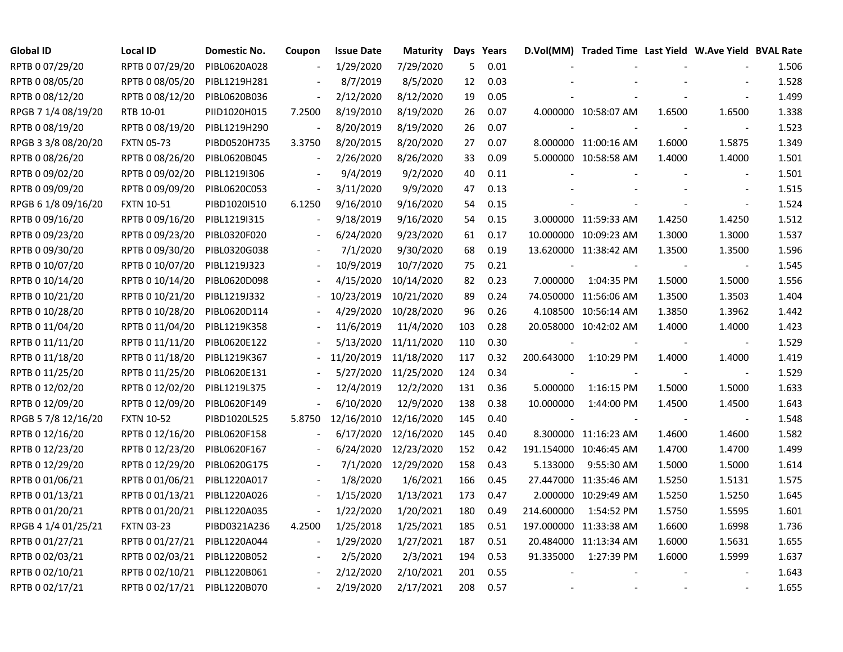| <b>Global ID</b>    | <b>Local ID</b>   | Domestic No. | Coupon         | <b>Issue Date</b> | <b>Maturity</b> |     | Days Years |            | D.Vol(MM) Traded Time Last Yield W.Ave Yield BVAL Rate |        |                          |       |
|---------------------|-------------------|--------------|----------------|-------------------|-----------------|-----|------------|------------|--------------------------------------------------------|--------|--------------------------|-------|
| RPTB 0 07/29/20     | RPTB 0 07/29/20   | PIBL0620A028 |                | 1/29/2020         | 7/29/2020       | 5   | 0.01       |            |                                                        |        |                          | 1.506 |
| RPTB 0 08/05/20     | RPTB 0 08/05/20   | PIBL1219H281 |                | 8/7/2019          | 8/5/2020        | 12  | 0.03       |            |                                                        |        |                          | 1.528 |
| RPTB 0 08/12/20     | RPTB 0 08/12/20   | PIBL0620B036 |                | 2/12/2020         | 8/12/2020       | 19  | 0.05       |            |                                                        |        |                          | 1.499 |
| RPGB 7 1/4 08/19/20 | RTB 10-01         | PIID1020H015 | 7.2500         | 8/19/2010         | 8/19/2020       | 26  | 0.07       |            | 4.000000 10:58:07 AM                                   | 1.6500 | 1.6500                   | 1.338 |
| RPTB 0 08/19/20     | RPTB 0 08/19/20   | PIBL1219H290 |                | 8/20/2019         | 8/19/2020       | 26  | 0.07       |            |                                                        |        | $\blacksquare$           | 1.523 |
| RPGB 3 3/8 08/20/20 | <b>FXTN 05-73</b> | PIBD0520H735 | 3.3750         | 8/20/2015         | 8/20/2020       | 27  | 0.07       |            | 8.000000 11:00:16 AM                                   | 1.6000 | 1.5875                   | 1.349 |
| RPTB 0 08/26/20     | RPTB 0 08/26/20   | PIBL0620B045 | $\blacksquare$ | 2/26/2020         | 8/26/2020       | 33  | 0.09       |            | 5.000000 10:58:58 AM                                   | 1.4000 | 1.4000                   | 1.501 |
| RPTB 0 09/02/20     | RPTB 0 09/02/20   | PIBL1219I306 |                | 9/4/2019          | 9/2/2020        | 40  | 0.11       |            |                                                        |        | $\overline{\phantom{a}}$ | 1.501 |
| RPTB 0 09/09/20     | RPTB 0 09/09/20   | PIBL0620C053 |                | 3/11/2020         | 9/9/2020        | 47  | 0.13       |            |                                                        |        | $\overline{\phantom{a}}$ | 1.515 |
| RPGB 6 1/8 09/16/20 | <b>FXTN 10-51</b> | PIBD1020I510 | 6.1250         | 9/16/2010         | 9/16/2020       | 54  | 0.15       |            |                                                        |        | $\overline{\phantom{a}}$ | 1.524 |
| RPTB 0 09/16/20     | RPTB 0 09/16/20   | PIBL12191315 | $\blacksquare$ | 9/18/2019         | 9/16/2020       | 54  | 0.15       |            | 3.000000 11:59:33 AM                                   | 1.4250 | 1.4250                   | 1.512 |
| RPTB 0 09/23/20     | RPTB 0 09/23/20   | PIBL0320F020 |                | 6/24/2020         | 9/23/2020       | 61  | 0.17       |            | 10.000000 10:09:23 AM                                  | 1.3000 | 1.3000                   | 1.537 |
| RPTB 0 09/30/20     | RPTB 0 09/30/20   | PIBL0320G038 |                | 7/1/2020          | 9/30/2020       | 68  | 0.19       |            | 13.620000 11:38:42 AM                                  | 1.3500 | 1.3500                   | 1.596 |
| RPTB 0 10/07/20     | RPTB 0 10/07/20   | PIBL1219J323 |                | 10/9/2019         | 10/7/2020       | 75  | 0.21       |            |                                                        |        |                          | 1.545 |
| RPTB 0 10/14/20     | RPTB 0 10/14/20   | PIBL0620D098 |                | 4/15/2020         | 10/14/2020      | 82  | 0.23       | 7.000000   | 1:04:35 PM                                             | 1.5000 | 1.5000                   | 1.556 |
| RPTB 0 10/21/20     | RPTB 0 10/21/20   | PIBL1219J332 |                | 10/23/2019        | 10/21/2020      | 89  | 0.24       |            | 74.050000 11:56:06 AM                                  | 1.3500 | 1.3503                   | 1.404 |
| RPTB 0 10/28/20     | RPTB 0 10/28/20   | PIBL0620D114 |                | 4/29/2020         | 10/28/2020      | 96  | 0.26       |            | 4.108500 10:56:14 AM                                   | 1.3850 | 1.3962                   | 1.442 |
| RPTB 0 11/04/20     | RPTB 0 11/04/20   | PIBL1219K358 |                | 11/6/2019         | 11/4/2020       | 103 | 0.28       |            | 20.058000 10:42:02 AM                                  | 1.4000 | 1.4000                   | 1.423 |
| RPTB 0 11/11/20     | RPTB 0 11/11/20   | PIBL0620E122 |                | 5/13/2020         | 11/11/2020      | 110 | 0.30       |            |                                                        |        | $\blacksquare$           | 1.529 |
| RPTB 0 11/18/20     | RPTB 0 11/18/20   | PIBL1219K367 |                | 11/20/2019        | 11/18/2020      | 117 | 0.32       | 200.643000 | 1:10:29 PM                                             | 1.4000 | 1.4000                   | 1.419 |
| RPTB 0 11/25/20     | RPTB 0 11/25/20   | PIBL0620E131 |                | 5/27/2020         | 11/25/2020      | 124 | 0.34       |            |                                                        |        | $\blacksquare$           | 1.529 |
| RPTB 0 12/02/20     | RPTB 0 12/02/20   | PIBL1219L375 |                | 12/4/2019         | 12/2/2020       | 131 | 0.36       | 5.000000   | 1:16:15 PM                                             | 1.5000 | 1.5000                   | 1.633 |
| RPTB 0 12/09/20     | RPTB 0 12/09/20   | PIBL0620F149 |                | 6/10/2020         | 12/9/2020       | 138 | 0.38       | 10.000000  | 1:44:00 PM                                             | 1.4500 | 1.4500                   | 1.643 |
| RPGB 5 7/8 12/16/20 | <b>FXTN 10-52</b> | PIBD1020L525 | 5.8750         | 12/16/2010        | 12/16/2020      | 145 | 0.40       |            |                                                        |        | $\blacksquare$           | 1.548 |
| RPTB 0 12/16/20     | RPTB 0 12/16/20   | PIBL0620F158 |                | 6/17/2020         | 12/16/2020      | 145 | 0.40       |            | 8.300000 11:16:23 AM                                   | 1.4600 | 1.4600                   | 1.582 |
| RPTB 0 12/23/20     | RPTB 0 12/23/20   | PIBL0620F167 |                | 6/24/2020         | 12/23/2020      | 152 | 0.42       |            | 191.154000 10:46:45 AM                                 | 1.4700 | 1.4700                   | 1.499 |
| RPTB 0 12/29/20     | RPTB 0 12/29/20   | PIBL0620G175 |                | 7/1/2020          | 12/29/2020      | 158 | 0.43       | 5.133000   | 9:55:30 AM                                             | 1.5000 | 1.5000                   | 1.614 |
| RPTB 0 01/06/21     | RPTB 0 01/06/21   | PIBL1220A017 |                | 1/8/2020          | 1/6/2021        | 166 | 0.45       |            | 27.447000 11:35:46 AM                                  | 1.5250 | 1.5131                   | 1.575 |
| RPTB 0 01/13/21     | RPTB 0 01/13/21   | PIBL1220A026 |                | 1/15/2020         | 1/13/2021       | 173 | 0.47       |            | 2.000000 10:29:49 AM                                   | 1.5250 | 1.5250                   | 1.645 |
| RPTB 0 01/20/21     | RPTB 0 01/20/21   | PIBL1220A035 |                | 1/22/2020         | 1/20/2021       | 180 | 0.49       | 214.600000 | 1:54:52 PM                                             | 1.5750 | 1.5595                   | 1.601 |
| RPGB 4 1/4 01/25/21 | <b>FXTN 03-23</b> | PIBD0321A236 | 4.2500         | 1/25/2018         | 1/25/2021       | 185 | 0.51       |            | 197.000000 11:33:38 AM                                 | 1.6600 | 1.6998                   | 1.736 |
| RPTB 0 01/27/21     | RPTB 0 01/27/21   | PIBL1220A044 | $\blacksquare$ | 1/29/2020         | 1/27/2021       | 187 | 0.51       |            | 20.484000 11:13:34 AM                                  | 1.6000 | 1.5631                   | 1.655 |
| RPTB 0 02/03/21     | RPTB 0 02/03/21   | PIBL1220B052 |                | 2/5/2020          | 2/3/2021        | 194 | 0.53       | 91.335000  | 1:27:39 PM                                             | 1.6000 | 1.5999                   | 1.637 |
| RPTB 0 02/10/21     | RPTB 0 02/10/21   | PIBL1220B061 |                | 2/12/2020         | 2/10/2021       | 201 | 0.55       |            |                                                        |        |                          | 1.643 |
| RPTB 0 02/17/21     | RPTB 0 02/17/21   | PIBL1220B070 |                | 2/19/2020         | 2/17/2021       | 208 | 0.57       |            |                                                        |        |                          | 1.655 |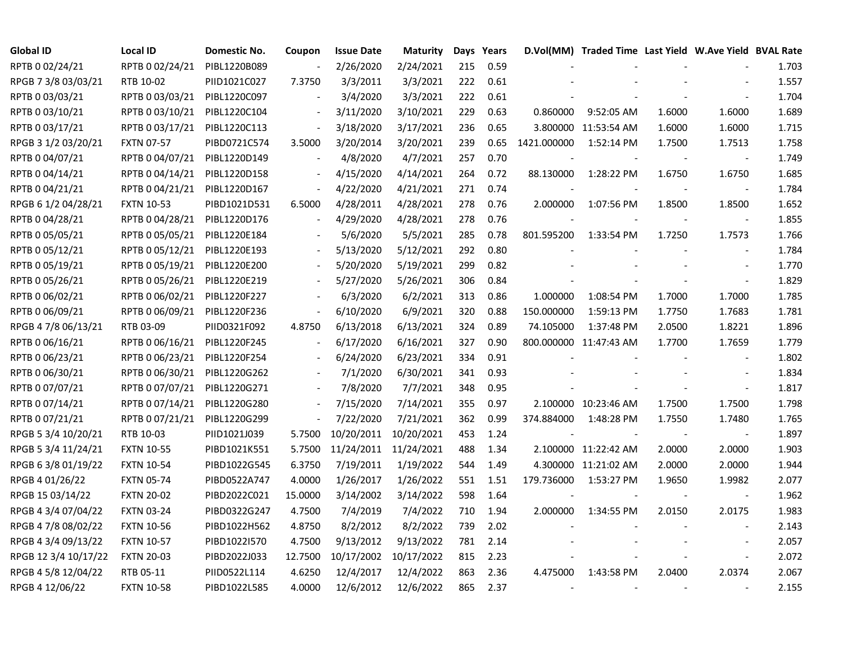| <b>Global ID</b>     | <b>Local ID</b>   | Domestic No. | Coupon                   | <b>Issue Date</b>     | Maturity   |     | Days Years |             | D.Vol(MM) Traded Time Last Yield W.Ave Yield BVAL Rate |        |                          |       |
|----------------------|-------------------|--------------|--------------------------|-----------------------|------------|-----|------------|-------------|--------------------------------------------------------|--------|--------------------------|-------|
| RPTB 0 02/24/21      | RPTB 0 02/24/21   | PIBL1220B089 |                          | 2/26/2020             | 2/24/2021  | 215 | 0.59       |             |                                                        |        |                          | 1.703 |
| RPGB 7 3/8 03/03/21  | RTB 10-02         | PIID1021C027 | 7.3750                   | 3/3/2011              | 3/3/2021   | 222 | 0.61       |             |                                                        |        |                          | 1.557 |
| RPTB 0 03/03/21      | RPTB 0 03/03/21   | PIBL1220C097 |                          | 3/4/2020              | 3/3/2021   | 222 | 0.61       |             |                                                        |        |                          | 1.704 |
| RPTB 0 03/10/21      | RPTB 0 03/10/21   | PIBL1220C104 |                          | 3/11/2020             | 3/10/2021  | 229 | 0.63       | 0.860000    | 9:52:05 AM                                             | 1.6000 | 1.6000                   | 1.689 |
| RPTB 0 03/17/21      | RPTB 0 03/17/21   | PIBL1220C113 | $\overline{\phantom{a}}$ | 3/18/2020             | 3/17/2021  | 236 | 0.65       |             | 3.800000 11:53:54 AM                                   | 1.6000 | 1.6000                   | 1.715 |
| RPGB 3 1/2 03/20/21  | <b>FXTN 07-57</b> | PIBD0721C574 | 3.5000                   | 3/20/2014             | 3/20/2021  | 239 | 0.65       | 1421.000000 | 1:52:14 PM                                             | 1.7500 | 1.7513                   | 1.758 |
| RPTB 0 04/07/21      | RPTB 0 04/07/21   | PIBL1220D149 | $\blacksquare$           | 4/8/2020              | 4/7/2021   | 257 | 0.70       |             |                                                        |        | $\blacksquare$           | 1.749 |
| RPTB 0 04/14/21      | RPTB 0 04/14/21   | PIBL1220D158 |                          | 4/15/2020             | 4/14/2021  | 264 | 0.72       | 88.130000   | 1:28:22 PM                                             | 1.6750 | 1.6750                   | 1.685 |
| RPTB 0 04/21/21      | RPTB 0 04/21/21   | PIBL1220D167 | $\blacksquare$           | 4/22/2020             | 4/21/2021  | 271 | 0.74       |             |                                                        |        |                          | 1.784 |
| RPGB 6 1/2 04/28/21  | <b>FXTN 10-53</b> | PIBD1021D531 | 6.5000                   | 4/28/2011             | 4/28/2021  | 278 | 0.76       | 2.000000    | 1:07:56 PM                                             | 1.8500 | 1.8500                   | 1.652 |
| RPTB 0 04/28/21      | RPTB 0 04/28/21   | PIBL1220D176 | $\blacksquare$           | 4/29/2020             | 4/28/2021  | 278 | 0.76       |             |                                                        |        | $\blacksquare$           | 1.855 |
| RPTB 0 05/05/21      | RPTB 0 05/05/21   | PIBL1220E184 |                          | 5/6/2020              | 5/5/2021   | 285 | 0.78       | 801.595200  | 1:33:54 PM                                             | 1.7250 | 1.7573                   | 1.766 |
| RPTB 0 05/12/21      | RPTB 0 05/12/21   | PIBL1220E193 | $\blacksquare$           | 5/13/2020             | 5/12/2021  | 292 | 0.80       |             |                                                        |        |                          | 1.784 |
| RPTB 0 05/19/21      | RPTB 0 05/19/21   | PIBL1220E200 |                          | 5/20/2020             | 5/19/2021  | 299 | 0.82       |             |                                                        |        |                          | 1.770 |
| RPTB 0 05/26/21      | RPTB 0 05/26/21   | PIBL1220E219 |                          | 5/27/2020             | 5/26/2021  | 306 | 0.84       |             |                                                        |        |                          | 1.829 |
| RPTB 0 06/02/21      | RPTB 0 06/02/21   | PIBL1220F227 |                          | 6/3/2020              | 6/2/2021   | 313 | 0.86       | 1.000000    | 1:08:54 PM                                             | 1.7000 | 1.7000                   | 1.785 |
| RPTB 0 06/09/21      | RPTB 0 06/09/21   | PIBL1220F236 | $\blacksquare$           | 6/10/2020             | 6/9/2021   | 320 | 0.88       | 150.000000  | 1:59:13 PM                                             | 1.7750 | 1.7683                   | 1.781 |
| RPGB 4 7/8 06/13/21  | RTB 03-09         | PIID0321F092 | 4.8750                   | 6/13/2018             | 6/13/2021  | 324 | 0.89       | 74.105000   | 1:37:48 PM                                             | 2.0500 | 1.8221                   | 1.896 |
| RPTB 0 06/16/21      | RPTB 0 06/16/21   | PIBL1220F245 | $\frac{1}{2}$            | 6/17/2020             | 6/16/2021  | 327 | 0.90       |             | 800.000000 11:47:43 AM                                 | 1.7700 | 1.7659                   | 1.779 |
| RPTB 0 06/23/21      | RPTB 0 06/23/21   | PIBL1220F254 | $\blacksquare$           | 6/24/2020             | 6/23/2021  | 334 | 0.91       |             |                                                        |        | $\blacksquare$           | 1.802 |
| RPTB 0 06/30/21      | RPTB 0 06/30/21   | PIBL1220G262 |                          | 7/1/2020              | 6/30/2021  | 341 | 0.93       |             |                                                        |        |                          | 1.834 |
| RPTB 0 07/07/21      | RPTB 0 07/07/21   | PIBL1220G271 |                          | 7/8/2020              | 7/7/2021   | 348 | 0.95       |             |                                                        |        | $\blacksquare$           | 1.817 |
| RPTB 0 07/14/21      | RPTB 0 07/14/21   | PIBL1220G280 | $\overline{\phantom{a}}$ | 7/15/2020             | 7/14/2021  | 355 | 0.97       |             | 2.100000 10:23:46 AM                                   | 1.7500 | 1.7500                   | 1.798 |
| RPTB 0 07/21/21      | RPTB 0 07/21/21   | PIBL1220G299 | $\overline{\phantom{a}}$ | 7/22/2020             | 7/21/2021  | 362 | 0.99       | 374.884000  | 1:48:28 PM                                             | 1.7550 | 1.7480                   | 1.765 |
| RPGB 5 3/4 10/20/21  | RTB 10-03         | PIID1021J039 | 5.7500                   | 10/20/2011            | 10/20/2021 | 453 | 1.24       |             |                                                        |        | $\blacksquare$           | 1.897 |
| RPGB 5 3/4 11/24/21  | <b>FXTN 10-55</b> | PIBD1021K551 | 5.7500                   | 11/24/2011 11/24/2021 |            | 488 | 1.34       |             | 2.100000 11:22:42 AM                                   | 2.0000 | 2.0000                   | 1.903 |
| RPGB 63/8 01/19/22   | <b>FXTN 10-54</b> | PIBD1022G545 | 6.3750                   | 7/19/2011             | 1/19/2022  | 544 | 1.49       |             | 4.300000 11:21:02 AM                                   | 2.0000 | 2.0000                   | 1.944 |
| RPGB 4 01/26/22      | <b>FXTN 05-74</b> | PIBD0522A747 | 4.0000                   | 1/26/2017             | 1/26/2022  | 551 | 1.51       | 179.736000  | 1:53:27 PM                                             | 1.9650 | 1.9982                   | 2.077 |
| RPGB 15 03/14/22     | <b>FXTN 20-02</b> | PIBD2022C021 | 15.0000                  | 3/14/2002             | 3/14/2022  | 598 | 1.64       |             |                                                        |        |                          | 1.962 |
| RPGB 4 3/4 07/04/22  | <b>FXTN 03-24</b> | PIBD0322G247 | 4.7500                   | 7/4/2019              | 7/4/2022   | 710 | 1.94       | 2.000000    | 1:34:55 PM                                             | 2.0150 | 2.0175                   | 1.983 |
| RPGB 4 7/8 08/02/22  | <b>FXTN 10-56</b> | PIBD1022H562 | 4.8750                   | 8/2/2012              | 8/2/2022   | 739 | 2.02       |             |                                                        |        |                          | 2.143 |
| RPGB 4 3/4 09/13/22  | <b>FXTN 10-57</b> | PIBD1022I570 | 4.7500                   | 9/13/2012             | 9/13/2022  | 781 | 2.14       |             |                                                        |        |                          | 2.057 |
| RPGB 12 3/4 10/17/22 | <b>FXTN 20-03</b> | PIBD2022J033 | 12.7500                  | 10/17/2002            | 10/17/2022 | 815 | 2.23       |             |                                                        |        | $\overline{\phantom{a}}$ | 2.072 |
| RPGB 4 5/8 12/04/22  | RTB 05-11         | PIID0522L114 | 4.6250                   | 12/4/2017             | 12/4/2022  | 863 | 2.36       | 4.475000    | 1:43:58 PM                                             | 2.0400 | 2.0374                   | 2.067 |
| RPGB 4 12/06/22      | <b>FXTN 10-58</b> | PIBD1022L585 | 4.0000                   | 12/6/2012             | 12/6/2022  | 865 | 2.37       |             |                                                        |        |                          | 2.155 |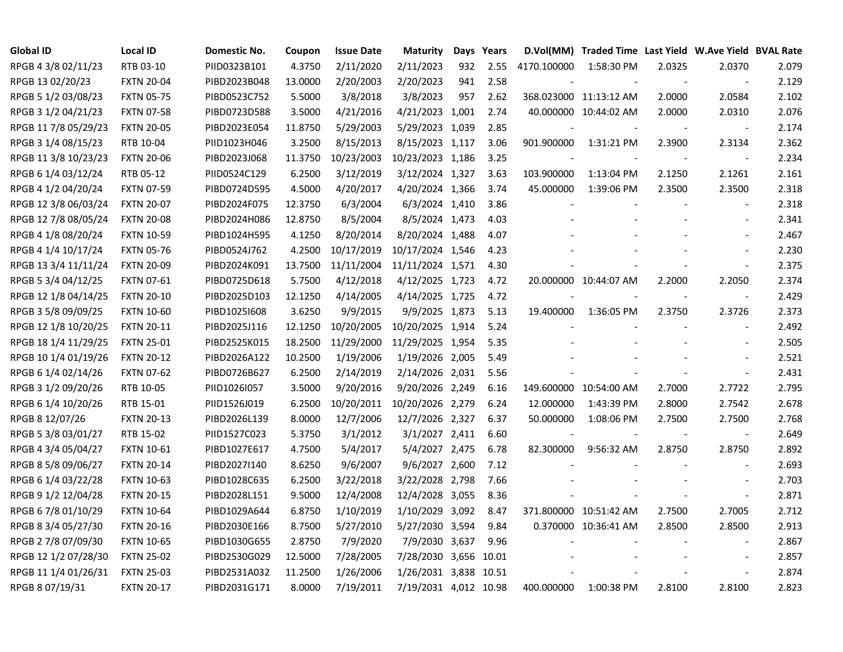| <b>Global ID</b>     | <b>Local ID</b>   | Domestic No. | Coupon  | <b>Issue Date</b> | <b>Maturity</b>       |     | Days Years |             | D.Vol(MM) Traded Time Last Yield W.Ave Yield BVAL Rate |        |                          |       |
|----------------------|-------------------|--------------|---------|-------------------|-----------------------|-----|------------|-------------|--------------------------------------------------------|--------|--------------------------|-------|
| RPGB 4 3/8 02/11/23  | RTB 03-10         | PIID0323B101 | 4.3750  | 2/11/2020         | 2/11/2023             | 932 | 2.55       | 4170.100000 | 1:58:30 PM                                             | 2.0325 | 2.0370                   | 2.079 |
| RPGB 13 02/20/23     | <b>FXTN 20-04</b> | PIBD2023B048 | 13.0000 | 2/20/2003         | 2/20/2023             | 941 | 2.58       |             |                                                        |        | $\sim$                   | 2.129 |
| RPGB 5 1/2 03/08/23  | <b>FXTN 05-75</b> | PIBD0523C752 | 5.5000  | 3/8/2018          | 3/8/2023              | 957 | 2.62       |             | 368.023000 11:13:12 AM                                 | 2.0000 | 2.0584                   | 2.102 |
| RPGB 3 1/2 04/21/23  | <b>FXTN 07-58</b> | PIBD0723D588 | 3.5000  | 4/21/2016         | 4/21/2023 1,001       |     | 2.74       |             | 40.000000 10:44:02 AM                                  | 2.0000 | 2.0310                   | 2.076 |
| RPGB 11 7/8 05/29/23 | <b>FXTN 20-05</b> | PIBD2023E054 | 11.8750 | 5/29/2003         | 5/29/2023 1,039       |     | 2.85       |             |                                                        |        | $\overline{\phantom{a}}$ | 2.174 |
| RPGB 3 1/4 08/15/23  | RTB 10-04         | PIID1023H046 | 3.2500  | 8/15/2013         | 8/15/2023 1,117       |     | 3.06       | 901.900000  | 1:31:21 PM                                             | 2.3900 | 2.3134                   | 2.362 |
| RPGB 11 3/8 10/23/23 | <b>FXTN 20-06</b> | PIBD2023J068 | 11.3750 | 10/23/2003        | 10/23/2023 1,186      |     | 3.25       |             |                                                        |        |                          | 2.234 |
| RPGB 6 1/4 03/12/24  | RTB 05-12         | PIID0524C129 | 6.2500  | 3/12/2019         | 3/12/2024 1,327       |     | 3.63       | 103.900000  | 1:13:04 PM                                             | 2.1250 | 2.1261                   | 2.161 |
| RPGB 4 1/2 04/20/24  | <b>FXTN 07-59</b> | PIBD0724D595 | 4.5000  | 4/20/2017         | 4/20/2024 1,366       |     | 3.74       | 45.000000   | 1:39:06 PM                                             | 2.3500 | 2.3500                   | 2.318 |
| RPGB 12 3/8 06/03/24 | <b>FXTN 20-07</b> | PIBD2024F075 | 12.3750 | 6/3/2004          | 6/3/2024 1,410        |     | 3.86       |             |                                                        |        | $\overline{a}$           | 2.318 |
| RPGB 12 7/8 08/05/24 | <b>FXTN 20-08</b> | PIBD2024H086 | 12.8750 | 8/5/2004          | 8/5/2024 1,473        |     | 4.03       |             |                                                        |        | $\overline{\phantom{a}}$ | 2.341 |
| RPGB 4 1/8 08/20/24  | <b>FXTN 10-59</b> | PIBD1024H595 | 4.1250  | 8/20/2014         | 8/20/2024 1,488       |     | 4.07       |             |                                                        |        | $\overline{\phantom{a}}$ | 2.467 |
| RPGB 4 1/4 10/17/24  | <b>FXTN 05-76</b> | PIBD0524J762 | 4.2500  | 10/17/2019        | 10/17/2024 1,546      |     | 4.23       |             |                                                        |        |                          | 2.230 |
| RPGB 13 3/4 11/11/24 | <b>FXTN 20-09</b> | PIBD2024K091 | 13.7500 | 11/11/2004        | 11/11/2024 1,571      |     | 4.30       |             |                                                        |        | $\sim$                   | 2.375 |
| RPGB 5 3/4 04/12/25  | <b>FXTN 07-61</b> | PIBD0725D618 | 5.7500  | 4/12/2018         | 4/12/2025 1,723       |     | 4.72       |             | 20.000000 10:44:07 AM                                  | 2.2000 | 2.2050                   | 2.374 |
| RPGB 12 1/8 04/14/25 | <b>FXTN 20-10</b> | PIBD2025D103 | 12.1250 | 4/14/2005         | 4/14/2025 1,725       |     | 4.72       |             |                                                        |        |                          | 2.429 |
| RPGB 3 5/8 09/09/25  | <b>FXTN 10-60</b> | PIBD1025I608 | 3.6250  | 9/9/2015          | 9/9/2025 1,873        |     | 5.13       | 19.400000   | 1:36:05 PM                                             | 2.3750 | 2.3726                   | 2.373 |
| RPGB 12 1/8 10/20/25 | <b>FXTN 20-11</b> | PIBD2025J116 | 12.1250 | 10/20/2005        | 10/20/2025 1,914      |     | 5.24       |             |                                                        |        | $\blacksquare$           | 2.492 |
| RPGB 18 1/4 11/29/25 | <b>FXTN 25-01</b> | PIBD2525K015 | 18.2500 | 11/29/2000        | 11/29/2025 1,954      |     | 5.35       |             |                                                        |        | $\sim$                   | 2.505 |
| RPGB 10 1/4 01/19/26 | <b>FXTN 20-12</b> | PIBD2026A122 | 10.2500 | 1/19/2006         | 1/19/2026 2,005       |     | 5.49       |             |                                                        |        | $\overline{\phantom{a}}$ | 2.521 |
| RPGB 6 1/4 02/14/26  | <b>FXTN 07-62</b> | PIBD0726B627 | 6.2500  | 2/14/2019         | 2/14/2026 2,031       |     | 5.56       |             |                                                        |        | $\overline{\phantom{a}}$ | 2.431 |
| RPGB 3 1/2 09/20/26  | RTB 10-05         | PIID1026I057 | 3.5000  | 9/20/2016         | 9/20/2026 2,249       |     | 6.16       |             | 149.600000 10:54:00 AM                                 | 2.7000 | 2.7722                   | 2.795 |
| RPGB 6 1/4 10/20/26  | RTB 15-01         | PIID1526J019 | 6.2500  | 10/20/2011        | 10/20/2026 2,279      |     | 6.24       | 12.000000   | 1:43:39 PM                                             | 2.8000 | 2.7542                   | 2.678 |
| RPGB 8 12/07/26      | <b>FXTN 20-13</b> | PIBD2026L139 | 8.0000  | 12/7/2006         | 12/7/2026 2,327       |     | 6.37       | 50.000000   | 1:08:06 PM                                             | 2.7500 | 2.7500                   | 2.768 |
| RPGB 5 3/8 03/01/27  | RTB 15-02         | PIID1527C023 | 5.3750  | 3/1/2012          | 3/1/2027 2,411        |     | 6.60       |             |                                                        |        | $\overline{\phantom{a}}$ | 2.649 |
| RPGB 4 3/4 05/04/27  | <b>FXTN 10-61</b> | PIBD1027E617 | 4.7500  | 5/4/2017          | 5/4/2027 2,475        |     | 6.78       | 82.300000   | 9:56:32 AM                                             | 2.8750 | 2.8750                   | 2.892 |
| RPGB 8 5/8 09/06/27  | <b>FXTN 20-14</b> | PIBD2027I140 | 8.6250  | 9/6/2007          | 9/6/2027 2,600        |     | 7.12       |             |                                                        |        |                          | 2.693 |
| RPGB 6 1/4 03/22/28  | <b>FXTN 10-63</b> | PIBD1028C635 | 6.2500  | 3/22/2018         | 3/22/2028 2,798       |     | 7.66       |             |                                                        |        |                          | 2.703 |
| RPGB 9 1/2 12/04/28  | <b>FXTN 20-15</b> | PIBD2028L151 | 9.5000  | 12/4/2008         | 12/4/2028 3,055       |     | 8.36       |             |                                                        |        | $\blacksquare$           | 2.871 |
| RPGB 6 7/8 01/10/29  | <b>FXTN 10-64</b> | PIBD1029A644 | 6.8750  | 1/10/2019         | 1/10/2029 3,092       |     | 8.47       |             | 371.800000 10:51:42 AM                                 | 2.7500 | 2.7005                   | 2.712 |
| RPGB 8 3/4 05/27/30  | <b>FXTN 20-16</b> | PIBD2030E166 | 8.7500  | 5/27/2010         | 5/27/2030 3,594       |     | 9.84       |             | 0.370000 10:36:41 AM                                   | 2.8500 | 2.8500                   | 2.913 |
| RPGB 2 7/8 07/09/30  | <b>FXTN 10-65</b> | PIBD1030G655 | 2.8750  | 7/9/2020          | 7/9/2030 3,637        |     | 9.96       |             |                                                        |        | $\blacksquare$           | 2.867 |
| RPGB 12 1/2 07/28/30 | <b>FXTN 25-02</b> | PIBD2530G029 | 12.5000 | 7/28/2005         | 7/28/2030 3,656 10.01 |     |            |             |                                                        |        |                          | 2.857 |
| RPGB 11 1/4 01/26/31 | <b>FXTN 25-03</b> | PIBD2531A032 | 11.2500 | 1/26/2006         | 1/26/2031 3,838 10.51 |     |            |             |                                                        |        | $\blacksquare$           | 2.874 |
| RPGB 8 07/19/31      | <b>FXTN 20-17</b> | PIBD2031G171 | 8.0000  | 7/19/2011         | 7/19/2031 4,012 10.98 |     |            | 400.000000  | 1:00:38 PM                                             | 2.8100 | 2.8100                   | 2.823 |